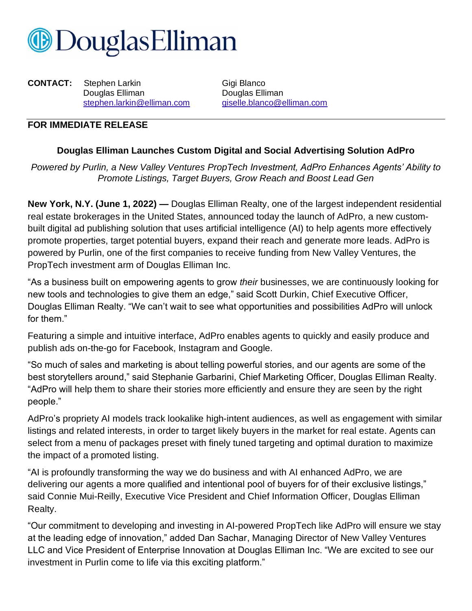

**CONTACT:** Stephen Larkin Gigi Blanco Douglas Elliman **Douglas Elliman** 

[stephen.larkin@elliman.com](mailto:stephen.larkin@elliman.com) [giselle.blanco@elliman.com](mailto:giselle.blanco@elliman.com)

## **FOR IMMEDIATE RELEASE**

## **Douglas Elliman Launches Custom Digital and Social Advertising Solution AdPro**

*Powered by Purlin, a New Valley Ventures PropTech Investment, AdPro Enhances Agents' Ability to Promote Listings, Target Buyers, Grow Reach and Boost Lead Gen*

**New York, N.Y. (June 1, 2022) —** Douglas Elliman Realty, one of the largest independent residential real estate brokerages in the United States, announced today the launch of AdPro, a new custombuilt digital ad publishing solution that uses artificial intelligence (AI) to help agents more effectively promote properties, target potential buyers, expand their reach and generate more leads. AdPro is powered by Purlin, one of the first companies to receive funding from New Valley Ventures, the PropTech investment arm of Douglas Elliman Inc.

"As a business built on empowering agents to grow *their* businesses, we are continuously looking for new tools and technologies to give them an edge," said Scott Durkin, Chief Executive Officer, Douglas Elliman Realty. "We can't wait to see what opportunities and possibilities AdPro will unlock for them."

Featuring a simple and intuitive interface, AdPro enables agents to quickly and easily produce and publish ads on-the-go for Facebook, Instagram and Google.

"So much of sales and marketing is about telling powerful stories, and our agents are some of the best storytellers around," said Stephanie Garbarini, Chief Marketing Officer, Douglas Elliman Realty. "AdPro will help them to share their stories more efficiently and ensure they are seen by the right people."

AdPro's propriety AI models track lookalike high-intent audiences, as well as engagement with similar listings and related interests, in order to target likely buyers in the market for real estate. Agents can select from a menu of packages preset with finely tuned targeting and optimal duration to maximize the impact of a promoted listing.

"AI is profoundly transforming the way we do business and with AI enhanced AdPro, we are delivering our agents a more qualified and intentional pool of buyers for of their exclusive listings," said Connie Mui-Reilly, Executive Vice President and Chief Information Officer, Douglas Elliman Realty.

"Our commitment to developing and investing in AI-powered PropTech like AdPro will ensure we stay at the leading edge of innovation," added Dan Sachar, Managing Director of New Valley Ventures LLC and Vice President of Enterprise Innovation at Douglas Elliman Inc. "We are excited to see our investment in Purlin come to life via this exciting platform."